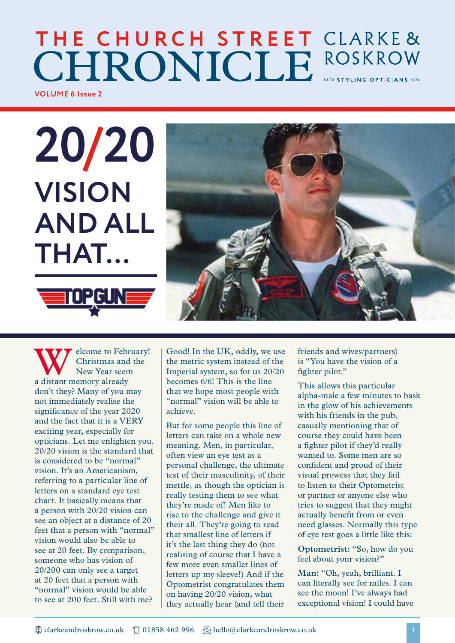### **VOLUME 6 Issue 2 THE CHURCH STREET CHRONICLE** ROSKROW

**20/20 VISION AND ALL THAT…MOPGUN** 



elcome to February! Christmas and the New Year seem a distant memory already don't they? Many of you may not immediately realise the significance of the year 2020 and the fact that it is a VERY exciting year, especially for opticians. Let me enlighten you. 20/20 vision is the standard that is considered to be "normal" vision. It's an Americanism, referring to a particular line of letters on a standard eye test chart. It basically means that a person with 20/20 vision can see an object at a distance of 20 feet that a person with "normal" vision would also be able to see at 20 feet. By comparison, someone who has vision of 20/200 can only see a target at 20 feet that a person with "normal" vision would be able to see at 200 feet. Still with me?

Good! In the UK, oddly, we use the metric system instead of the Imperial system, so for us 20/20 becomes 6/6! This is the line that we hope most people with "normal" vision will be able to achieve.

But for some people this line of letters can take on a whole new meaning. Men, in particular, often view an eye test as a personal challenge, the ultimate test of their masculinity, of their mettle, as though the optician is really testing them to see what they're made of! Men like to rise to the challenge and give it their all. They're going to read that smallest line of letters if it's the last thing they do (not realising of course that I have a few more even smaller lines of letters up my sleeve!) And if the Optometrist congratulates them on having 20/20 vision, what they actually hear (and tell their

friends and wives/partners) is "You have the vision of a fighter pilot."

This allows this particular alpha-male a few minutes to bask in the glow of his achievements with his friends in the pub, casually mentioning that of course they could have been a fighter pilot if they'd really wanted to. Some men are so confident and proud of their visual prowess that they fail to listen to their Optometrist or partner or anyone else who tries to suggest that they might actually benefit from or even need glasses. Normally this type of eye test goes a little like this:

**Optometrist:** "So, how do you feel about your vision?"

**Man:** "Oh, yeah, brilliant. I can literally see for miles. I can see the moon! I've always had exceptional vision! I could have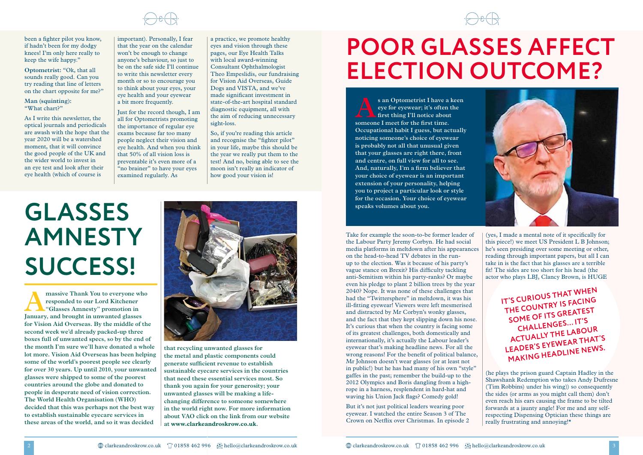# **GLASSES AMNESTY SUCCESS!**

# **POOR GLASSES AFFECT ELECTION OUTCOME?**

s an Optometrist I have a keen<br>
eye for eyewear; it's often the<br>
first thing I'll notice about<br>
someone I meet for the first time **eye for eyewear; it's often the first thing I'll notice about someone I meet for the first time. Occupational habit I guess, but actually noticing someone's choice of eyewear is probably not all that unusual given that your glasses are right there, front and centre, on full view for all to see. And, naturally, I'm a firm believer that your choice of eyewear is an important extension of your personality, helping you to project a particular look or style for the occasion. Your choice of eyewear speaks volumes about you.** 

**Amassive Thank You to everyone who<br>responded to our Lord Kitchener<br>"Glasses Amnesty" promotion in<br>Lanuary and brought in unwanted glasses responded to our Lord Kitchener "Glasses Amnesty" promotion in January, and brought in unwanted glasses for Vision Aid Overseas. By the middle of the second week we'd already packed-up three boxes full of unwanted specs, so by the end of the month I'm sure we'll have donated a whole lot more. Vision Aid Overseas has been helping some of the world's poorest people see clearly for over 30 years. Up until 2010, your unwanted glasses were shipped to some of the poorest countries around the globe and donated to people in desperate need of vision correction. The World Health Organisation (WHO) decided that this was perhaps not the best way to establish sustainable eyecare services in these areas of the world, and so it was decided** 



eyewear. I watched the entire Season 3 of The Crown on Netflix over Christmas. In episode 2



**that recycling unwanted glasses for the metal and plastic components could generate sufficient revenue to establish sustainable eyecare services in the countries that need these essential services most. So thank you again for your generosity; your unwanted glasses will be making a lifechanging difference to someone somewhere in the world right now. For more information about VAO click on the link from our website at www.clarkeandroskrow.co.uk.**



been a fighter pilot you know, if hadn't been for my dodgy knees! I'm only here really to keep the wife happy."

> Take for example the soon-to-be former leader of the Labour Party Jeremy Corbyn. He had social media platforms in meltdown after his appearances on the head-to-head TV debates in the runup to the election. Was it because of his party's vague stance on Brexit? His difficulty tackling anti-Semitism within his party-ranks? Or maybe even his pledge to plant 2 billion trees by the year 2040? Nope. It was none of these challenges that had the "Twittersphere" in meltdown, it was his ill-fitting eyewear! Viewers were left mesmerised and distracted by Mr Corbyn's wonky glasses, and the fact that they kept slipping down his nose. It's curious that when the country is facing some of its greatest challenges, both domestically and internationally, it's actually the Labour leader's eyewear that's making headline news. For all the wrong reasons! For the benefit of political balance, Mr Johnson doesn't wear glasses (or at least not in public!) but he has had many of his own "style" gaffes in the past; remember the build-up to the 2012 Olympics and Boris dangling from a highrope in a harness, resplendent in hard-hat and waving his Union Jack flags? Comedy gold! But it's not just political leaders wearing poor **IT'S CURIOUS THAT WHEN THE COUNTRY IS FACING SOME OF ITS GREATEST CHALLENGES… IT'S ACTUALLY THE LABOUR LEADER'S EYEWEAR THAT'S MAKING HEADLINE NEWS.** (yes, I made a mental note of it specifically for this piece!) we meet US President L B Johnson; he's seen presiding over some meeting or other, reading through important papers, but all I can take in is the fact that his glasses are a terrible fit! The sides are too short for his head (the actor who plays LBJ, Clancy Brown, is HUGE (he plays the prison guard Captain Hadley in the Shawshank Redemption who takes Andy Dufresne (Tim Robbins) under his wing)) so consequently the sides (or arms as you might call them) don't even reach his ears causing the frame to be tilted forwards at a jaunty angle! For me and any selfrespecting Dispensing Optician these things are really frustrating and annoying!\*

**Optometrist:** "Ok, that all sounds really good. Can you try reading that line of letters on the chart opposite for me?"

**Man (squinting):** "What chart?"

As I write this newsletter, the optical journals and periodicals are awash with the hope that the year 2020 will be a watershed moment, that it will convince the good people of the UK and the wider world to invest in an eye test and look after their eye health (which of course is

important). Personally, I fear that the year on the calendar won't be enough to change anyone's behaviour, so just to be on the safe side I'll continue to write this newsletter every month or so to encourage you to think about your eyes, your eye health and your eyewear a bit more frequently.

Just for the record though, I am all for Optometrists promoting the importance of regular eye exams because far too many people neglect their vision and eye health. And when you think that 50% of all vision loss is preventable it's even more of a "no brainer" to have your eyes examined regularly. As

a practice, we promote healthy eyes and vision through these pages, our Eye Health Talks with local award-winning Consultant Ophthalmologist Theo Empeslidis, our fundraising for Vision Aid Overseas, Guide Dogs and VISTA, and we've made significant investment in state-of-the-art hospital standard diagnostic equipment, all with the aim of reducing unnecessary sight-loss.

So, if you're reading this article and recognise the "fighter pilot" in your life, maybe this should be the year we really put them to the test! And no, being able to see the moon isn't really an indicator of how good your vision is!